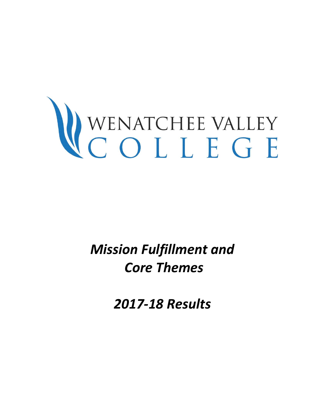# WENATCHEE VALLEY

*Mission Fulfillment and Core Themes* 

*2017-18 Results*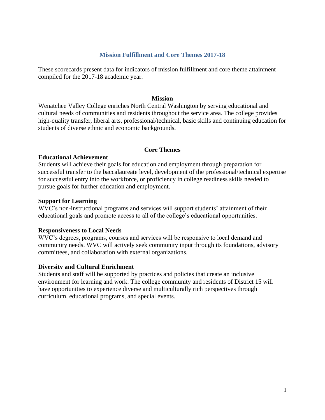### **Mission Fulfillment and Core Themes 2017-18**

These scorecards present data for indicators of mission fulfillment and core theme attainment compiled for the 2017-18 academic year.

### **Mission**

Wenatchee Valley College enriches North Central Washington by serving educational and cultural needs of communities and residents throughout the service area. The college provides high-quality transfer, liberal arts, professional/technical, basic skills and continuing education for students of diverse ethnic and economic backgrounds.

### **Core Themes**

# **Educational Achievement**

Students will achieve their goals for education and employment through preparation for successful transfer to the baccalaureate level, development of the professional/technical expertise for successful entry into the workforce, or proficiency in college readiness skills needed to pursue goals for further education and employment.

### **Support for Learning**

WVC's non-instructional programs and services will support students' attainment of their educational goals and promote access to all of the college's educational opportunities.

### **Responsiveness to Local Needs**

WVC's degrees, programs, courses and services will be responsive to local demand and community needs. WVC will actively seek community input through its foundations, advisory committees, and collaboration with external organizations.

### **Diversity and Cultural Enrichment**

Students and staff will be supported by practices and policies that create an inclusive environment for learning and work. The college community and residents of District 15 will have opportunities to experience diverse and multiculturally rich perspectives through curriculum, educational programs, and special events.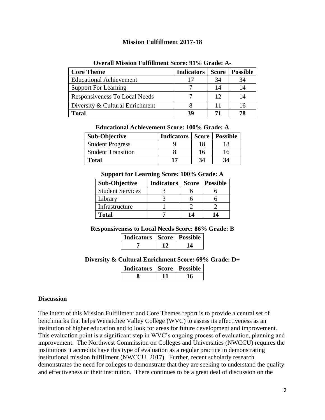# **Mission Fulfillment 2017-18**

| <b>Core Theme</b>               | <b>Indicators</b> | Score | <b>Possible</b> |
|---------------------------------|-------------------|-------|-----------------|
| <b>Educational Achievement</b>  | 17                | 34    | 34              |
| <b>Support For Learning</b>     |                   |       | 14              |
| Responsiveness To Local Needs   |                   | 12    | 14              |
| Diversity & Cultural Enrichment |                   |       |                 |
| <b>Total</b>                    | 39                | 71    | 78              |

### **Overall Mission Fulfillment Score: 91% Grade: A-**

| Educational Achievement Score: 100% Grade: A |  |
|----------------------------------------------|--|
|----------------------------------------------|--|

| <b>Sub-Objective</b>      | Indicators |    | Score   Possible |
|---------------------------|------------|----|------------------|
| <b>Student Progress</b>   |            | 18 |                  |
| <b>Student Transition</b> |            | 16 | 16               |
| Total                     | 17         | 34 | 34               |

### **Support for Learning Score: 100% Grade: A**

| <b>Sub-Objective</b>    | <b>Indicators</b> | <b>Score</b> | <b>Possible</b> |
|-------------------------|-------------------|--------------|-----------------|
| <b>Student Services</b> |                   |              |                 |
| Library                 |                   |              |                 |
| Infrastructure          |                   |              |                 |
| <b>Total</b>            |                   | 14           | 14              |

### **Responsiveness to Local Needs Score: 86% Grade: B**

| <b>Indicators   Score   Possible</b> |  |
|--------------------------------------|--|
|                                      |  |

# **Diversity & Cultural Enrichment Score: 69% Grade: D+**

| <b>Indicators   Score   Possible</b> |  |
|--------------------------------------|--|
|                                      |  |

### **Discussion**

The intent of this Mission Fulfillment and Core Themes report is to provide a central set of benchmarks that helps Wenatchee Valley College (WVC) to assess its effectiveness as an institution of higher education and to look for areas for future development and improvement. This evaluation point is a significant step in WVC's ongoing process of evaluation, planning and improvement. The Northwest Commission on Colleges and Universities (NWCCU) requires the institutions it accredits have this type of evaluation as a regular practice in demonstrating institutional mission fulfillment (NWCCU, 2017). Further, recent scholarly research demonstrates the need for colleges to demonstrate that they are seeking to understand the quality and effectiveness of their institution. There continues to be a great deal of discussion on the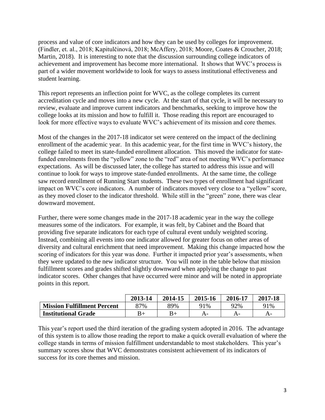process and value of core indicators and how they can be used by colleges for improvement. (Findler, et. al., 2018; Kapitulčinová, 2018; McAffery, 2018; Moore, Coates & Croucher, 2018; Martin, 2018). It is interesting to note that the discussion surrounding college indicators of achievement and improvement has become more international. It shows that WVC's process is part of a wider movement worldwide to look for ways to assess institutional effectiveness and student learning.

This report represents an inflection point for WVC, as the college completes its current accreditation cycle and moves into a new cycle. At the start of that cycle, it will be necessary to review, evaluate and improve current indicators and benchmarks, seeking to improve how the college looks at its mission and how to fulfill it. Those reading this report are encouraged to look for more effective ways to evaluate WVC's achievement of its mission and core themes.

Most of the changes in the 2017-18 indicator set were centered on the impact of the declining enrollment of the academic year. In this academic year, for the first time in WVC's history, the college failed to meet its state-funded enrollment allocation. This moved the indicator for statefunded enrolments from the "yellow" zone to the "red" area of not meeting WVC's performance expectations. As will be discussed later, the college has started to address this issue and will continue to look for ways to improve state-funded enrollments. At the same time, the college saw record enrollment of Running Start students. These two types of enrollment had significant impact on WVC's core indicators. A number of indicators moved very close to a "yellow" score, as they moved closer to the indicator threshold. While still in the "green" zone, there was clear downward movement.

Further, there were some changes made in the 2017-18 academic year in the way the college measures some of the indicators. For example, it was felt, by Cabinet and the Board that providing five separate indicators for each type of cultural event unduly weighted scoring. Instead, combining all events into one indicator allowed for greater focus on other areas of diversity and cultural enrichment that need improvement. Making this change impacted how the scoring of indicators for this year was done. Further it impacted prior year's assessments, when they were updated to the new indicator structure. You will note in the table below that mission fulfillment scores and grades shifted slightly downward when applying the change to past indicator scores. Other changes that have occurred were minor and will be noted in appropriate points in this report.

|                                    | 2013-14 | 2014-15 | 2015-16 | 2016-17 | 2017-18 |
|------------------------------------|---------|---------|---------|---------|---------|
| <b>Mission Fulfillment Percent</b> | 87%     | 89%     | 91%     | 92%     | 91%     |
| <b>Institutional Grade</b>         | $B+$    | B+      | A-      | A-      | A-      |

This year's report used the third iteration of the grading system adopted in 2016. The advantage of this system is to allow those reading the report to make a quick overall evaluation of where the college stands in terms of mission fulfillment understandable to most stakeholders. This year's summary scores show that WVC demonstrates consistent achievement of its indicators of success for its core themes and mission.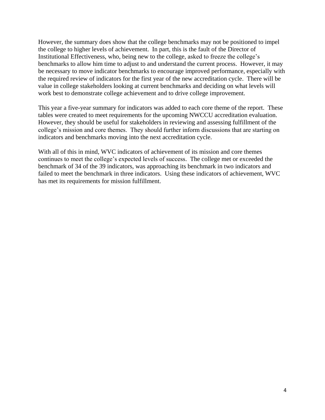However, the summary does show that the college benchmarks may not be positioned to impel the college to higher levels of achievement. In part, this is the fault of the Director of Institutional Effectiveness, who, being new to the college, asked to freeze the college's benchmarks to allow him time to adjust to and understand the current process. However, it may be necessary to move indicator benchmarks to encourage improved performance, especially with the required review of indicators for the first year of the new accreditation cycle. There will be value in college stakeholders looking at current benchmarks and deciding on what levels will work best to demonstrate college achievement and to drive college improvement.

This year a five-year summary for indicators was added to each core theme of the report. These tables were created to meet requirements for the upcoming NWCCU accreditation evaluation. However, they should be useful for stakeholders in reviewing and assessing fulfillment of the college's mission and core themes. They should further inform discussions that are starting on indicators and benchmarks moving into the next accreditation cycle.

With all of this in mind, WVC indicators of achievement of its mission and core themes continues to meet the college's expected levels of success. The college met or exceeded the benchmark of 34 of the 39 indicators, was approaching its benchmark in two indicators and failed to meet the benchmark in three indicators. Using these indicators of achievement, WVC has met its requirements for mission fulfillment.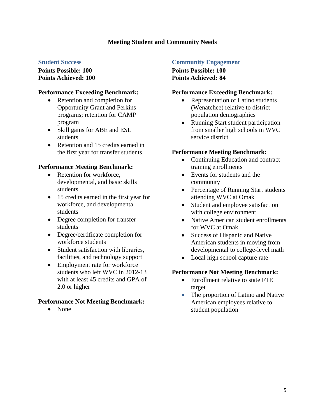# **Meeting Student and Community Needs**

### **Student Success**

**Points Possible: 100 Points Achieved: 100**

### **Performance Exceeding Benchmark:**

- Retention and completion for Opportunity Grant and Perkins programs; retention for CAMP program
- Skill gains for ABE and ESL students
- Retention and 15 credits earned in the first year for transfer students

# **Performance Meeting Benchmark:**

- Retention for workforce, developmental, and basic skills students
- 15 credits earned in the first year for workforce, and developmental students
- Degree completion for transfer students
- Degree/certificate completion for workforce students
- Student satisfaction with libraries. facilities, and technology support
- Employment rate for workforce students who left WVC in 2012-13 with at least 45 credits and GPA of 2.0 or higher

# **Performance Not Meeting Benchmark:**

• None

# **Community Engagement**

**Points Possible: 100 Points Achieved: 84**

### **Performance Exceeding Benchmark:**

- Representation of Latino students (Wenatchee) relative to district population demographics
- Running Start student participation from smaller high schools in WVC service district

# **Performance Meeting Benchmark:**

- Continuing Education and contract training enrollments
- Events for students and the community
- Percentage of Running Start students attending WVC at Omak
- Student and employee satisfaction with college environment
- Native American student enrollments for WVC at Omak
- Success of Hispanic and Native American students in moving from developmental to college-level math
- Local high school capture rate

# **Performance Not Meeting Benchmark:**

- Enrollment relative to state FTE target
- The proportion of Latino and Native American employees relative to student population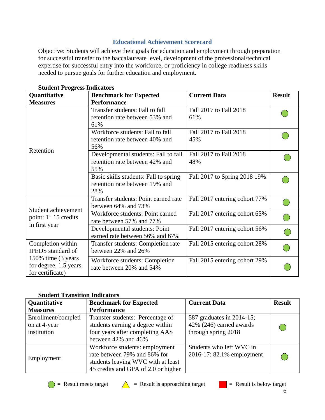# **Educational Achievement Scorecard**

Objective: Students will achieve their goals for education and employment through preparation for successful transfer to the baccalaureate level, development of the professional/technical expertise for successful entry into the workforce, or proficiency in college readiness skills needed to pursue goals for further education and employment.

| Quantitative                                                     | <b>Benchmark for Expected</b>                                                  | <b>Current Data</b>           | <b>Result</b> |
|------------------------------------------------------------------|--------------------------------------------------------------------------------|-------------------------------|---------------|
| <b>Measures</b>                                                  | <b>Performance</b>                                                             |                               |               |
|                                                                  | Transfer students: Fall to fall<br>retention rate between 53% and<br>61%       | Fall 2017 to Fall 2018<br>61% |               |
|                                                                  | Workforce students: Fall to fall<br>retention rate between 40% and<br>56%      | Fall 2017 to Fall 2018<br>45% |               |
| Retention                                                        | Developmental students: Fall to fall<br>retention rate between 42% and<br>55%  | Fall 2017 to Fall 2018<br>48% |               |
|                                                                  | Basic skills students: Fall to spring<br>retention rate between 19% and<br>28% | Fall 2017 to Spring 2018 19%  |               |
|                                                                  | Transfer students: Point earned rate<br>between 64% and 73%                    | Fall 2017 entering cohort 77% |               |
| Student achievement<br>point: 1 <sup>st</sup> 15 credits         | Workforce students: Point earned<br>rate between 57% and 77%                   | Fall 2017 entering cohort 65% |               |
| in first year                                                    | Developmental students: Point<br>earned rate between 56% and 67%               | Fall 2017 entering cohort 56% |               |
| Completion within<br><b>IPEDS</b> standard of                    | Transfer students: Completion rate<br>between 22% and 26%                      | Fall 2015 entering cohort 28% |               |
| 150% time (3 years)<br>for degree, 1.5 years<br>for certificate) | Workforce students: Completion<br>rate between 20% and 54%                     | Fall 2015 entering cohort 29% |               |

**Student Progress Indicators**

# **Student Transition Indicators**

| <b>Quantitative</b> | <b>Benchmark for Expected</b>       | <b>Current Data</b>       | <b>Result</b> |
|---------------------|-------------------------------------|---------------------------|---------------|
| <b>Measures</b>     | <b>Performance</b>                  |                           |               |
| Enrollment/completi | Transfer students: Percentage of    | 587 graduates in 2014-15; |               |
| on at 4-year        | students earning a degree within    | 42% (246) earned awards   |               |
| institution         | four years after completing AAS     | through spring 2018       |               |
|                     | between 42% and 46%                 |                           |               |
|                     | Workforce students: employment      | Students who left WVC in  |               |
|                     | rate between 79% and 86% for        | 2016-17: 82.1% employment |               |
| Employment          | students leaving WVC with at least  |                           |               |
|                     | 45 credits and GPA of 2.0 or higher |                           |               |





6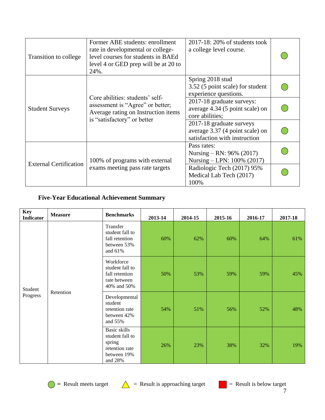| Transition to college         | Former ABE students: enrollment<br>rate in developmental or college-<br>level courses for students in BAEd<br>level 4 or GED prep will be at 20 to<br>24%. | $2017-18$ : 20% of students took<br>a college level course.                                  |  |
|-------------------------------|------------------------------------------------------------------------------------------------------------------------------------------------------------|----------------------------------------------------------------------------------------------|--|
|                               | Core abilities: students' self-                                                                                                                            | Spring 2018 stud<br>3.52 (5 point scale) for student<br>experience questions.                |  |
| <b>Student Surveys</b>        | assessment is "Agree" or better;<br>Average rating on Instruction items                                                                                    | 2017-18 graduate surveys:<br>average 4.34 (5 point scale) on<br>core abilities;              |  |
|                               | is "satisfactory" or better                                                                                                                                | 2017-18 graduate surveys<br>average 3.37 (4 point scale) on<br>satisfaction with instruction |  |
|                               | 100% of programs with external                                                                                                                             | Pass rates:<br>Nursing – RN: $96\%$ (2017)<br>Nursing – LPN: 100% (2017)                     |  |
| <b>External Certification</b> | exams meeting pass rate targets                                                                                                                            | Radiologic Tech (2017) 95%<br>Medical Lab Tech (2017)<br>100%                                |  |

# **Five-Year Educational Achievement Summary**

| <b>Key</b><br><b>Indicator</b> | <b>Measure</b> | <b>Benchmarks</b>                                                                            | 2013-14 | 2014-15 | 2015-16 | 2016-17 | 2017-18 |
|--------------------------------|----------------|----------------------------------------------------------------------------------------------|---------|---------|---------|---------|---------|
|                                |                | Transfer<br>student fall to<br>fall retention<br>between 53%<br>and 61%                      | 60%     | 62%     | 60%     | 64%     | 61%     |
| Student                        | Retention      | Workforce<br>student fall to<br>fall retention<br>rate between<br>40% and 50%                | 50%     | 53%     | 59%     | 59%     | 45%     |
| Progress                       |                | Developmental<br>student<br>retention rate<br>between 42%<br>and 55%                         | 54%     | 51%     | 56%     | 52%     | 48%     |
|                                |                | <b>Basic skills</b><br>student fall to<br>spring<br>retention rate<br>between 19%<br>and 28% | 26%     | 23%     | 38%     | 32%     | 19%     |



 $\bigcirc$  = Result meets target  $\bigwedge$  = Result is approaching target  $\bigcirc$  = Result is below target

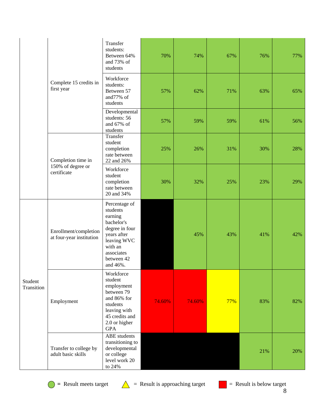|                       | Complete 15 credits in<br>first year              | Transfer<br>students:<br>Between 64%<br>and 73% of<br>students                                                                                        | 70%    | 74%    | 67% | 76% | 77% |
|-----------------------|---------------------------------------------------|-------------------------------------------------------------------------------------------------------------------------------------------------------|--------|--------|-----|-----|-----|
|                       |                                                   | Workforce<br>students:<br>Between 57<br>and77% of<br>students                                                                                         | 57%    | 62%    | 71% | 63% | 65% |
|                       |                                                   | Developmental<br>students: 56<br>and 67% of<br>students                                                                                               | 57%    | 59%    | 59% | 61% | 56% |
|                       | Completion time in                                | Transfer<br>student<br>completion<br>rate between<br>22 and 26%                                                                                       | 25%    | 26%    | 31% | 30% | 28% |
|                       | 150% of degree or<br>certificate                  | Workforce<br>student<br>completion<br>rate between<br>20 and 34%                                                                                      | 30%    | 32%    | 25% | 23% | 29% |
| Student<br>Transition | Enrollment/completion<br>at four-year institution | Percentage of<br>students<br>earning<br>bachelor's<br>degree in four<br>years after<br>leaving WVC<br>with an<br>associates<br>between 42<br>and 46%. |        | 45%    | 43% | 41% | 42% |
|                       | Employment                                        | Workforce<br>student<br>employment<br>between 79<br>and 86% for<br>students<br>leaving with<br>45 credits and<br>2.0 or higher<br><b>GPA</b>          | 74.60% | 74.60% | 77% | 83% | 82% |
|                       | Transfer to college by<br>adult basic skills      | <b>ABE</b> students<br>transitioning to<br>developmental<br>or college<br>level work 20<br>to 24%                                                     |        |        |     | 21% | 20% |

 $\bigcirc$  = Result meets target  $\bigwedge$  = Result is approaching target

 $R =$ Result is below target 8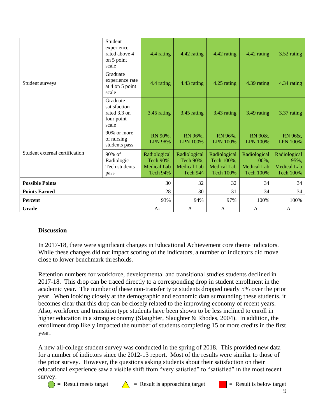|                                | Student<br>experience<br>rated above 4<br>on 5 point<br>scale   | 4.4 rating                                                         | 4.42 rating                                                 | 4.42 rating                                                          | 4.42 rating                                                     | 3.52 rating                                                    |
|--------------------------------|-----------------------------------------------------------------|--------------------------------------------------------------------|-------------------------------------------------------------|----------------------------------------------------------------------|-----------------------------------------------------------------|----------------------------------------------------------------|
| Student surveys                | Graduate<br>experience rate<br>at 4 on 5 point<br>scale         | 4.4 rating                                                         | 4.43 rating                                                 | 4.25 rating                                                          | 4.39 rating                                                     | 4.34 rating                                                    |
|                                | Graduate<br>satisfaction<br>rated 3.3 on<br>four point<br>scale | 3.45 rating                                                        | 3.45 rating                                                 | 3.43 rating                                                          | 3.49 rating                                                     | 3.37 rating                                                    |
|                                | 90% or more<br>of nursing<br>students pass                      | RN 90%,<br><b>LPN 98%</b>                                          | RN 96%,<br>LPN 100%                                         | RN 96%,<br><b>LPN 100%</b>                                           | RN 90&,<br><b>LPN 100%</b>                                      | RN 96&,<br><b>LPN 100%</b>                                     |
| Student external certification | $90\%$ of<br>Radiologic<br>Tech students<br>pass                | Radiological<br>Tech 90%,<br><b>Medical Lab</b><br><b>Tech 94%</b> | Radiological<br>Tech 90%,<br><b>Medical Lab</b><br>Tech 94^ | Radiological<br>Tech 100%,<br><b>Medical Lab</b><br><b>Tech 100%</b> | Radiological<br>100%,<br><b>Medical Lab</b><br><b>Tech 100%</b> | Radiological<br>95%,<br><b>Medical Lab</b><br><b>Tech 100%</b> |
| <b>Possible Points</b>         |                                                                 | 30                                                                 | 32                                                          | 32                                                                   | 34                                                              | 34                                                             |
| <b>Points Earned</b>           |                                                                 | 28                                                                 | 30                                                          | 31                                                                   | 34                                                              | 34                                                             |
| Percent                        |                                                                 | 93%                                                                | 94%                                                         | 97%                                                                  | 100%                                                            | 100%                                                           |
| Grade                          |                                                                 | $A-$                                                               | A                                                           | A                                                                    | A                                                               | A                                                              |

# **Discussion**

In 2017-18, there were significant changes in Educational Achievement core theme indicators. While these changes did not impact scoring of the indicators, a number of indicators did move close to lower benchmark thresholds.

Retention numbers for workforce, developmental and transitional studies students declined in 2017-18. This drop can be traced directly to a corresponding drop in student enrollment in the academic year. The number of these non-transfer type students dropped nearly 5% over the prior year. When looking closely at the demographic and economic data surrounding these students, it becomes clear that this drop can be closely related to the improving economy of recent years. Also, workforce and transition type students have been shown to be less inclined to enroll in higher education in a strong economy (Slaughter, Slaughter & Rhodes, 2004). In addition, the enrollment drop likely impacted the number of students completing 15 or more credits in the first year.

A new all-college student survey was conducted in the spring of 2018. This provided new data for a number of indictors since the 2012-13 report. Most of the results were similar to those of the prior survey. However, the questions asking students about their satisfaction on their educational experience saw a visible shift from "very satisfied" to "satisfied" in the most recent survey.



 $\bigcirc$  = Result meets target  $\bigwedge$  = Result is approaching target  $\bigcirc$  = Result is below target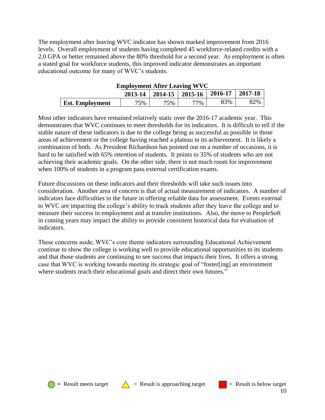The employment after leaving WVC indicator has shown marked improvement from 2016 levels. Overall employment of students having completed 45 workforce-related credits with a 2.0 GPA or better remained above the 80% threshold for a second year. As employment is often a stated goal for workforce students, this improved indicator demonstrates an important educational outcome for many of WVC's students.

|                        | Employment Arter Leaving WVC                      |     |        |     |     |
|------------------------|---------------------------------------------------|-----|--------|-----|-----|
|                        | $2013-14$   2014-15   2015-16   2016-17   2017-18 |     |        |     |     |
| <b>Est. Employment</b> | 75%                                               | 75% | $77\%$ | 83% | 82% |

**Employment After Leaving WVC**

Most other indicators have remained relatively static over the 2016-17 academic year. This demonstrates that WVC continues to meet thresholds for its indicators. It is difficult to tell if the stable nature of these indicators is due to the college being as successful as possible in those areas of achievement or the college having reached a plateau in its achievement. It is likely a combination of both. As President Richardson has pointed out on a number of occasions, it is hard to be satisfied with 65% retention of students. It points to 35% of students who are not achieving their academic goals. On the other side, there is not much room for improvement when 100% of students in a program pass external certification exams.

Future discussions on these indicators and their thresholds will take such issues into consideration. Another area of concern is that of actual measurement of indicators. A number of indicators face difficulties in the future in offering reliable data for assessment. Events external to WVC are impacting the college's ability to track students after they leave the college and to measure their success in employment and at transfer institutions. Also, the move to PeopleSoft in coming years may impact the ability to provide consistent historical data for evaluation of indicators.

These concerns aside, WVC's core theme indicators surrounding Educational Achievement continue to show the college is working well to provide educational opportunities to its students and that those students are continuing to see success that impacts their lives. It offers a strong case that WVC is working towards meeting its strategic goal of "foster[ing] an environment where students reach their educational goals and direct their own futures."





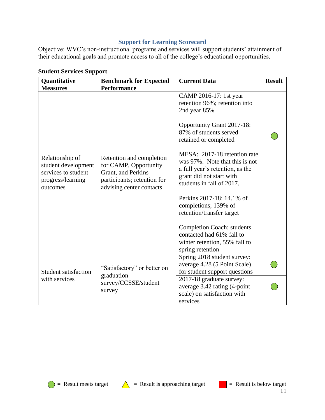# **Support for Learning Scorecard**

Objective: WVC's non-instructional programs and services will support students' attainment of their educational goals and promote access to all of the college's educational opportunities.

| Quantitative                                                                                                      | <b>Benchmark for Expected</b>                                                                                                                            | <b>Current Data</b>                                                                                                                                                                                                                                                                                                                                                                                                                                                                                                             | <b>Result</b> |
|-------------------------------------------------------------------------------------------------------------------|----------------------------------------------------------------------------------------------------------------------------------------------------------|---------------------------------------------------------------------------------------------------------------------------------------------------------------------------------------------------------------------------------------------------------------------------------------------------------------------------------------------------------------------------------------------------------------------------------------------------------------------------------------------------------------------------------|---------------|
| <b>Measures</b><br>Relationship of<br>student development<br>services to student<br>progress/learning<br>outcomes | <b>Performance</b><br>Retention and completion<br>for CAMP, Opportunity<br>Grant, and Perkins<br>participants; retention for<br>advising center contacts | CAMP 2016-17: 1st year<br>retention 96%; retention into<br>2nd year 85%<br>Opportunity Grant 2017-18:<br>87% of students served<br>retained or completed<br>MESA: 2017-18 retention rate<br>was 97%. Note that this is not<br>a full year's retention, as the<br>grant did not start with<br>students in fall of 2017.<br>Perkins 2017-18: 14.1% of<br>completions; 139% of<br>retention/transfer target<br><b>Completion Coach: students</b><br>contacted had 61% fall to<br>winter retention, 55% fall to<br>spring retention |               |
| <b>Student satisfaction</b>                                                                                       | "Satisfactory" or better on<br>graduation                                                                                                                | Spring 2018 student survey:<br>average 4.28 (5 Point Scale)<br>for student support questions                                                                                                                                                                                                                                                                                                                                                                                                                                    |               |
| with services                                                                                                     | survey/CCSSE/student<br>survey                                                                                                                           | 2017-18 graduate survey:<br>average 3.42 rating (4-point<br>scale) on satisfaction with<br>services                                                                                                                                                                                                                                                                                                                                                                                                                             |               |

# **Student Services Support**





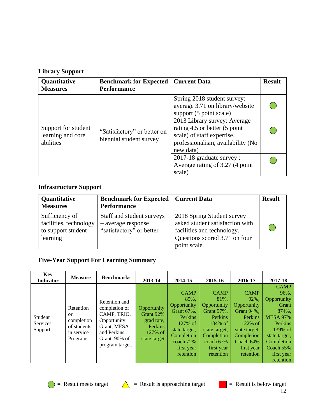# **Library Support**

| Quantitative<br><b>Measures</b>                       | <b>Benchmark for Expected</b><br><b>Performance</b>    | <b>Current Data</b>                                                                                                                                                                                                                                                     | <b>Result</b> |  |
|-------------------------------------------------------|--------------------------------------------------------|-------------------------------------------------------------------------------------------------------------------------------------------------------------------------------------------------------------------------------------------------------------------------|---------------|--|
| Support for student<br>learning and core<br>abilities | "Satisfactory" or better on<br>biennial student survey | Spring 2018 student survey:<br>average 3.71 on library/website<br>support (5 point scale)<br>2013 Library survey: Average<br>rating 4.5 or better (5 point<br>scale) of staff expertise,<br>professionalism, availability (No<br>new data)<br>2017-18 graduate survey : |               |  |
|                                                       |                                                        | Average rating of 3.27 (4 point<br>scale)                                                                                                                                                                                                                               |               |  |

# **Infrastructure Support**

| Quantitative<br><b>Measures</b>                                            | <b>Benchmark for Expected   Current Data</b><br><b>Performance</b>          |                                                                                                                                              | <b>Result</b> |
|----------------------------------------------------------------------------|-----------------------------------------------------------------------------|----------------------------------------------------------------------------------------------------------------------------------------------|---------------|
| Sufficiency of<br>facilities, technology<br>to support student<br>learning | Staff and student surveys<br>- average response<br>"satisfactory" or better | 2018 Spring Student survey<br>asked student satisfaction with<br>facilities and technology.<br>Questions scored 3.71 on four<br>point scale. |               |

# **Five-Year Support For Learning Summary**

| <b>Key</b><br><b>Indicator</b>        | <b>Measure</b>                                                         | <b>Benchmarks</b>                                                                                                             | 2013-14                                                                             | 2014-15                                                                                                                                          | 2015-16                                                                                                                                             | 2016-17                                                                                                                                                 | 2017-18                                                                                                                                                                |
|---------------------------------------|------------------------------------------------------------------------|-------------------------------------------------------------------------------------------------------------------------------|-------------------------------------------------------------------------------------|--------------------------------------------------------------------------------------------------------------------------------------------------|-----------------------------------------------------------------------------------------------------------------------------------------------------|---------------------------------------------------------------------------------------------------------------------------------------------------------|------------------------------------------------------------------------------------------------------------------------------------------------------------------------|
| Student<br><b>Services</b><br>Support | Retention<br>or<br>completion<br>of students<br>in service<br>Programs | Retention and<br>completion of<br>CAMP, TRIO,<br>Opportunity<br>Grant, MESA<br>and Perkins<br>Grant 90% of<br>program target. | Opportunity<br>Grant 92%<br>grad rate,<br><b>Perkins</b><br>127% of<br>state target | <b>CAMP</b><br>85%,<br>Opportunity<br>Grant 67%,<br>Perkins<br>$127\%$ of<br>state target,<br>Completion<br>coach 72%<br>first year<br>retention | <b>CAMP</b><br>81%,<br>Opportunity<br>Grant 97%,<br>Perkins<br>$134\%$ of<br>state target.<br>Completion<br>coach $67\%$<br>first year<br>retention | <b>CAMP</b><br>92%,<br>Opportunity<br><b>Grant 94%.</b><br>Perkins<br>$122\%$ of<br>state target,<br>Completion<br>Coach 64%<br>first year<br>retention | <b>CAMP</b><br>96%,<br>Opportunity<br>Grant<br>874%,<br><b>MESA 97%</b><br>Perkins<br>139% of<br>state target,<br>Completion<br>Coach $55%$<br>first year<br>retention |



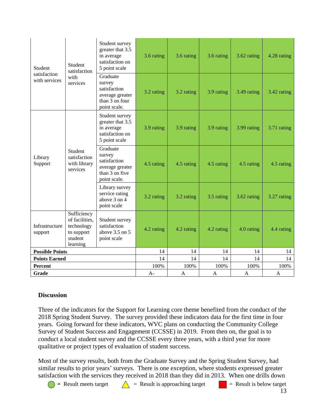| Student                       | Student<br>satisfaction                                                          | Student survey<br>greater that 3.5<br>in average<br>satisfaction on<br>5 point scale    | 3.6 rating | 3.6 rating   | 3.6 rating | 3.62 rating  | 4.28 rating |
|-------------------------------|----------------------------------------------------------------------------------|-----------------------------------------------------------------------------------------|------------|--------------|------------|--------------|-------------|
| satisfaction<br>with services | with<br>services                                                                 | Graduate<br>survey<br>satisfaction<br>average greater<br>than 3 on four<br>point scale. | 3.2 rating | 3.2 rating   | 3.9 rating | 3.49 rating  | 3.42 rating |
|                               |                                                                                  | Student survey<br>greater that 3.5<br>in average<br>satisfaction on<br>5 point scale    | 3.9 rating | 3.9 rating   | 3.9 rating | 3.99 rating  | 3.71 rating |
| Library<br>Support            | Student<br>satisfaction<br>with library<br>services                              | Graduate<br>survey<br>satisfaction<br>average greater<br>than 3 on five<br>point scale. | 4.5 rating | 4.5 rating   | 4.5 rating | 4.5 rating   | 4.5 rating  |
|                               |                                                                                  | Library survey<br>service rating<br>above 3 on 4<br>point scale                         | 3.2 rating | 3.2 rating   | 3.5 rating | 3.62 rating  | 3.27 rating |
| Infrastructure<br>support     | Sufficiency<br>of facilities,<br>technology<br>to support<br>student<br>learning | Student survey<br>satisfaction<br>above $3.5$ on $5$<br>point scale                     | 4.2 rating | 4.2 rating   | 4.2 rating | 4.0 rating   | 4.4 rating  |
| <b>Possible Points</b>        |                                                                                  |                                                                                         | 14         | 14           | 14         | 14           | 14          |
| <b>Points Earned</b>          |                                                                                  |                                                                                         | 14         | 14           | 14         | 14           | 14          |
| <b>Percent</b>                |                                                                                  |                                                                                         | 100%       | 100%         | 100%       | 100%         | 100%        |
| Grade                         |                                                                                  |                                                                                         | $A-$       | $\mathbf{A}$ | A          | $\mathbf{A}$ | A           |

# **Discussion**

Three of the indicators for the Support for Learning core theme benefited from the conduct of the 2018 Spring Student Survey. The survey provided these indicators data for the first time in four years. Going forward for these indicators, WVC plans on conducting the Community College Survey of Student Success and Engagement (CCSSE) in 2019. From then on, the goal is to conduct a local student survey and the CCSSE every three years, with a third year for more qualitative or project types of evaluation of student success.

 $\bigcirc$  = Result meets target  $\bigwedge$  = Result is approaching target  $\bigcirc$  = Result is below target Most of the survey results, both from the Graduate Survey and the Spring Student Survey, had similar results to prior years' surveys. There is one exception, where students expressed greater satisfaction with the services they received in 2018 than they did in 2013. When one drills down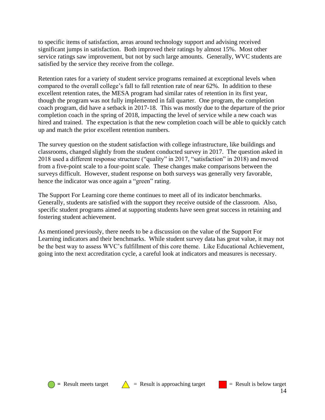to specific items of satisfaction, areas around technology support and advising received significant jumps in satisfaction. Both improved their ratings by almost 15%. Most other service ratings saw improvement, but not by such large amounts. Generally, WVC students are satisfied by the service they receive from the college.

Retention rates for a variety of student service programs remained at exceptional levels when compared to the overall college's fall to fall retention rate of near 62%. In addition to these excellent retention rates, the MESA program had similar rates of retention in its first year, though the program was not fully implemented in fall quarter. One program, the completion coach program, did have a setback in 2017-18. This was mostly due to the departure of the prior completion coach in the spring of 2018, impacting the level of service while a new coach was hired and trained. The expectation is that the new completion coach will be able to quickly catch up and match the prior excellent retention numbers.

The survey question on the student satisfaction with college infrastructure, like buildings and classrooms, changed slightly from the student conducted survey in 2017. The question asked in 2018 used a different response structure ("quality" in 2017, "satisfaction" in 2018) and moved from a five-point scale to a four-point scale. These changes make comparisons between the surveys difficult. However, student response on both surveys was generally very favorable, hence the indicator was once again a "green" rating.

The Support For Learning core theme continues to meet all of its indicator benchmarks. Generally, students are satisfied with the support they receive outside of the classroom. Also, specific student programs aimed at supporting students have seen great success in retaining and fostering student achievement.

As mentioned previously, there needs to be a discussion on the value of the Support For Learning indicators and their benchmarks. While student survey data has great value, it may not be the best way to assess WVC's fulfillment of this core theme. Like Educational Achievement, going into the next accreditation cycle, a careful look at indicators and measures is necessary.





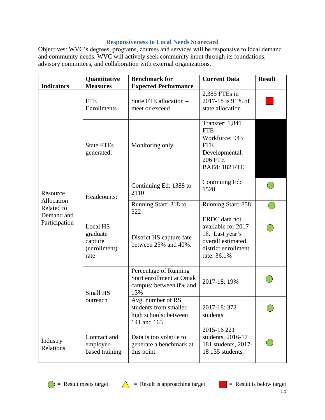# **Responsiveness to Local Needs Scorecard**

Objectives: WVC's degrees, programs, courses and services will be responsive to local demand and community needs. WVC will actively seek community input through its foundations, advisory committees, and collaboration with external organizations.

|                             | Quantitative                                            | <b>Benchmark for</b>                                                                      | <b>Current Data</b>                                                                                                | <b>Result</b> |
|-----------------------------|---------------------------------------------------------|-------------------------------------------------------------------------------------------|--------------------------------------------------------------------------------------------------------------------|---------------|
| <b>Indicators</b>           | <b>Measures</b>                                         | <b>Expected Performance</b>                                                               |                                                                                                                    |               |
|                             | <b>FTE</b><br>Enrollments                               | State FTE allocation -<br>meet or exceed                                                  | 2,385 FTEs in<br>2017-18 is 91% of<br>state allocation                                                             |               |
|                             | <b>State FTEs</b><br>generated:                         | Monitoring only                                                                           | Transfer: 1,841<br><b>FTE</b><br>Workforce: 943<br><b>FTE</b><br>Developmental:<br><b>206 FTE</b><br>BAEd: 182 FTE |               |
| Resource                    | Headcounts:                                             | Continuing Ed: 1388 to<br>2110                                                            | Continuing Ed:<br>1528                                                                                             |               |
| Allocation<br>Related to    |                                                         | Running Start: 318 to<br>522                                                              | <b>Running Start: 858</b>                                                                                          |               |
| Demand and<br>Participation | Local HS<br>graduate<br>capture<br>(enrollment)<br>rate | District HS capture fate<br>between 25% and 40%.                                          | ERDC data not<br>available for 2017-<br>18. Last year's<br>overall estimated<br>district enrollment<br>rate: 36.1% |               |
|                             | Small HS                                                | Percentage of Running<br><b>Start enrollment at Omak</b><br>campus: between 8% and<br>13% | 2017-18: 19%                                                                                                       |               |
|                             | outreach                                                | Avg. number of RS<br>students from smaller<br>high schools: between<br>141 and 163        | 2017-18: 372<br>students                                                                                           |               |
| Industry<br>Relations       | Contract and<br>employer-<br>based training             | Data is too volatile to<br>generate a benchmark at<br>this point.                         | 2015-16 221<br>students, 2016-17<br>181 students, 2017-<br>18 135 students.                                        |               |



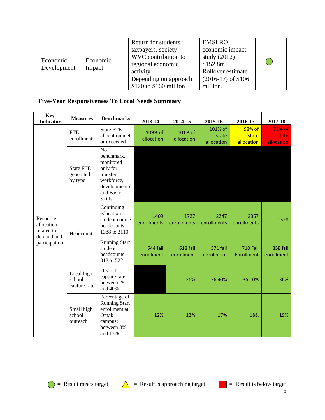| Economic<br>Development | Economic<br>Impact | Return for students,<br>taxpayers, society<br>WVC contribution to<br>regional economic<br>activity<br>Depending on approach<br>\$120 to \$160 million | <b>EMSI ROI</b><br>economic impact<br>study $(2012)$<br>\$152.8m<br>Rollover estimate<br>$(2016-17)$ of \$106<br>million. |  |
|-------------------------|--------------------|-------------------------------------------------------------------------------------------------------------------------------------------------------|---------------------------------------------------------------------------------------------------------------------------|--|
|-------------------------|--------------------|-------------------------------------------------------------------------------------------------------------------------------------------------------|---------------------------------------------------------------------------------------------------------------------------|--|

# **Five-Year Responsiveness To Local Needs Summary**

| <b>Key</b><br><b>Indicator</b>                     | <b>Measures</b>                          | <b>Benchmarks</b>                                                                                                               | 2013-14                | 2014-15                | 2015-16                        | 2016-17                              | 2017-18                       |
|----------------------------------------------------|------------------------------------------|---------------------------------------------------------------------------------------------------------------------------------|------------------------|------------------------|--------------------------------|--------------------------------------|-------------------------------|
|                                                    | <b>FTE</b><br>enrollments                | <b>State FTE</b><br>allocation met<br>or exceeded                                                                               | 109% of<br>allocation  | 101% of<br>allocation  | 101% of<br>state<br>allocation | 98% of<br>state<br>allocation        | 91% of<br>state<br>allocation |
|                                                    | <b>State FTE</b><br>generated<br>by type | N <sub>o</sub><br>benchmark,<br>monitored<br>only for<br>transfer,<br>workforce,<br>developmental<br>and Basic<br><b>Skills</b> |                        |                        |                                |                                      |                               |
| Resource<br>allocation<br>related to<br>demand and | Headcounts                               | Continuing<br>education<br>student course<br>headcounts<br>1388 to 2110                                                         | 1409<br>enrollments    | 1727<br>enrollments    | 2247<br>enrollments            | 2367<br>enrollments                  | 1528                          |
| participation                                      |                                          | <b>Running Start</b><br>student<br>headcounts<br>318 to 522                                                                     | 544 fall<br>enrollment | 618 fall<br>enrollment | <b>571 fall</b><br>enrollment  | <b>710 Fall</b><br><b>Enrollment</b> | 858 fall<br>enrollment        |
|                                                    | Local high<br>school<br>capture rate     | District<br>capture rate<br>between 25<br>and 40%                                                                               |                        | 26%                    | 36.40%                         | 36.10%                               | 36%                           |
|                                                    | Small high<br>school<br>outreach         | Percentage of<br><b>Running Start</b><br>enrollment at<br>Omak<br>campus:<br>between 8%<br>and 13%                              | 12%                    | 12%                    | 17%                            | 18&                                  | 19%                           |

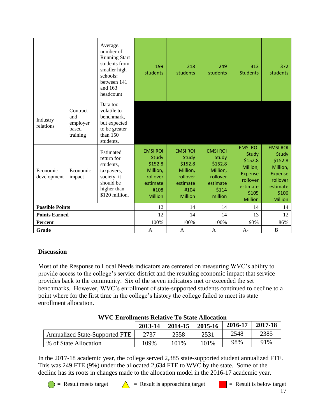|                         |                                                  | Average.<br>number of<br><b>Running Start</b><br>students from<br>smaller high<br>schools:<br>between 141<br>and 163<br>headcount | 199<br>students                                                                                   | 218<br>students                                                                                   | 249<br>students                                                                             | 313<br><b>Students</b>                                                                                               | 372<br>students                                                                                                      |
|-------------------------|--------------------------------------------------|-----------------------------------------------------------------------------------------------------------------------------------|---------------------------------------------------------------------------------------------------|---------------------------------------------------------------------------------------------------|---------------------------------------------------------------------------------------------|----------------------------------------------------------------------------------------------------------------------|----------------------------------------------------------------------------------------------------------------------|
| Industry<br>relations   | Contract<br>and<br>employer<br>based<br>training | Data too<br>volatile to<br>benchmark,<br>but expected<br>to be greater<br>than $150$<br>students.                                 |                                                                                                   |                                                                                                   |                                                                                             |                                                                                                                      |                                                                                                                      |
| Economic<br>development | Economic<br>impact                               | Estimated<br>return for<br>students,<br>taxpayers,<br>society. it<br>should be<br>higher than<br>\$120 million.                   | <b>EMSI ROI</b><br>Study<br>\$152.8<br>Million,<br>rollover<br>estimate<br>#108<br><b>Million</b> | <b>EMSI ROI</b><br>Study<br>\$152.8<br>Million,<br>rollover<br>estimate<br>#104<br><b>Million</b> | <b>EMSI ROI</b><br>Study<br>\$152.8<br>Million,<br>rollover<br>estimate<br>\$114<br>million | <b>EMSI ROI</b><br>Study<br>\$152.8<br>Million,<br><b>Expense</b><br>rollover<br>estimate<br>\$105<br><b>Million</b> | <b>EMSI ROI</b><br>Study<br>\$152.8<br>Million,<br><b>Expense</b><br>rollover<br>estimate<br>\$106<br><b>Million</b> |
| <b>Possible Points</b>  |                                                  |                                                                                                                                   | 12                                                                                                | 14                                                                                                | 14                                                                                          | 14                                                                                                                   | 14                                                                                                                   |
| <b>Points Earned</b>    |                                                  |                                                                                                                                   | 12                                                                                                | 14                                                                                                | 14                                                                                          | 13                                                                                                                   | 12                                                                                                                   |
| <b>Percent</b>          |                                                  |                                                                                                                                   | 100%                                                                                              | 100%                                                                                              | 100%                                                                                        | 93%                                                                                                                  | 86%                                                                                                                  |
| Grade                   |                                                  |                                                                                                                                   | A                                                                                                 | A                                                                                                 | A                                                                                           | $A-$                                                                                                                 | B                                                                                                                    |

# **Discussion**

Most of the Response to Local Needs indicators are centered on measuring WVC's ability to provide access to the college's service district and the resulting economic impact that service provides back to the community. Six of the seven indicators met or exceeded the set benchmarks. However, WVC's enrollment of state-supported students continued to decline to a point where for the first time in the college's history the college failed to meet its state enrollment allocation.

# **WVC Enrollments Relative To State Allocation**

|                                       | 2013-14 | 2014-15 | 2015-16 | 2016-17 | 2017-18 |
|---------------------------------------|---------|---------|---------|---------|---------|
| <b>Annualized State-Supported FTE</b> | 2737    | 2558    | 2531    | 2548    | 2385    |
| % of State Allocation                 | 109%    | 101%    | 101%    | 98%     | 91%     |

In the 2017-18 academic year, the college served 2,385 state-supported student annualized FTE. This was 249 FTE (9%) under the allocated 2,634 FTE to WVC by the state. Some of the decline has its roots in changes made to the allocation model in the 2016-17 academic year.

 $\bigcirc$  = Result meets target  $\bigwedge$  = Result is approaching target  $\bigcirc$  = Result is below target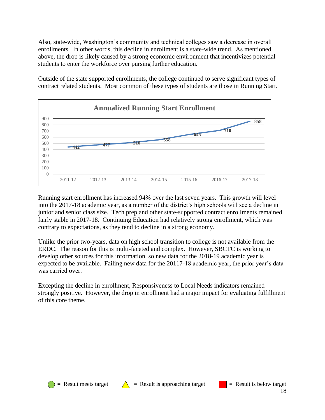Also, state-wide, Washington's community and technical colleges saw a decrease in overall enrollments. In other words, this decline in enrollment is a state-wide trend. As mentioned above, the drop is likely caused by a strong economic environment that incentivizes potential students to enter the workforce over pursing further education.

Outside of the state supported enrollments, the college continued to serve significant types of contract related students. Most common of these types of students are those in Running Start.



Running start enrollment has increased 94% over the last seven years. This growth will level into the 2017-18 academic year, as a number of the district's high schools will see a decline in junior and senior class size. Tech prep and other state-supported contract enrollments remained fairly stable in 2017-18. Continuing Education had relatively strong enrollment, which was contrary to expectations, as they tend to decline in a strong economy.

Unlike the prior two-years, data on high school transition to college is not available from the ERDC. The reason for this is multi-faceted and complex. However, SBCTC is working to develop other sources for this information, so new data for the 2018-19 academic year is expected to be available. Failing new data for the 20117-18 academic year, the prior year's data was carried over.

Excepting the decline in enrollment, Responsiveness to Local Needs indicators remained strongly positive. However, the drop in enrollment had a major impact for evaluating fulfillment of this core theme.





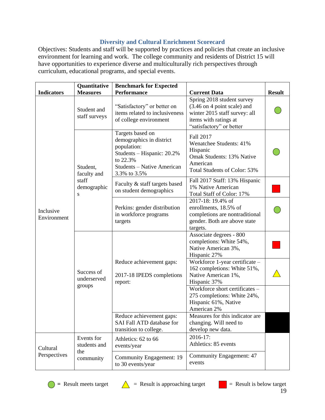# **Diversity and Cultural Enrichment Scorecard**

Objectives: Students and staff will be supported by practices and policies that create an inclusive environment for learning and work. The college community and residents of District 15 will have opportunities to experience diverse and multiculturally rich perspectives through curriculum, educational programs, and special events.

|                          | Quantitative                        | <b>Benchmark for Expected</b>                                                                                                                              |                                                                                                                                                 |  |  |
|--------------------------|-------------------------------------|------------------------------------------------------------------------------------------------------------------------------------------------------------|-------------------------------------------------------------------------------------------------------------------------------------------------|--|--|
| <b>Indicators</b>        | <b>Measures</b>                     | <b>Performance</b>                                                                                                                                         | <b>Current Data</b>                                                                                                                             |  |  |
| Inclusive<br>Environment | Student and<br>staff surveys        | "Satisfactory" or better on<br>items related to inclusiveness<br>of college environment                                                                    | Spring 2018 student survey<br>(3.46 on 4 point scale) and<br>winter 2015 staff survey: all<br>items with ratings at<br>"satisfactory" or better |  |  |
|                          | Student,<br>faculty and             | Targets based on<br>demographics in district<br>population:<br>Students - Hispanic: 20.2%<br>to 22.3%<br><b>Students - Native American</b><br>3.3% to 3.5% | Fall 2017<br>Wenatchee Students: 41%<br>Hispanic<br>Omak Students: 13% Native<br>American<br>Total Students of Color: 53%                       |  |  |
|                          | staff<br>demographic<br>S           | Faculty & staff targets based<br>on student demographics                                                                                                   | Fall 2017 Staff: 13% Hispanic<br>1% Native American<br>Total Staff of Color: 17%                                                                |  |  |
|                          |                                     | Perkins: gender distribution<br>in workforce programs<br>targets                                                                                           | 2017-18: 19.4% of<br>enrollments, 18.5% of<br>completions are nontraditional<br>gender. Both are above state<br>targets.                        |  |  |
|                          | Success of<br>underserved<br>groups |                                                                                                                                                            | Associate degrees - 800<br>completions: White 54%,<br>Native American 3%,<br>Hispanic 27%                                                       |  |  |
|                          |                                     | Reduce achievement gaps:<br>2017-18 IPEDS completions<br>report:                                                                                           | Workforce 1-year certificate -<br>162 completions: White 51%,<br>Native American 1%,<br>Hispanic 37%                                            |  |  |
|                          |                                     |                                                                                                                                                            | Workforce short certificates -<br>275 completions: White 24%,<br>Hispanic 61%, Native<br>American 2%                                            |  |  |
|                          |                                     | Reduce achievement gaps:<br>SAI Fall ATD database for<br>transition to college.                                                                            | Measures for this indicator are<br>changing. Will need to<br>develop new data.                                                                  |  |  |
| Cultural<br>Perspectives | Events for<br>students and          | Athletics: 62 to 66<br>events/year                                                                                                                         | 2016-17:<br>Athletics: 85 events                                                                                                                |  |  |
|                          | the<br>community                    | <b>Community Engagement: 19</b><br>to 30 events/year                                                                                                       | Community Engagement: 47<br>events                                                                                                              |  |  |





 $\bullet$  = Result meets target  $\qquad \qquad$  = Result is approaching target  $\qquad \qquad$  = Result is below target

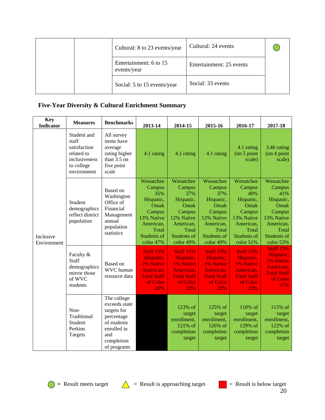|  | Cultural: 8 to 23 events/year         | Cultural: 24 events      |  |
|--|---------------------------------------|--------------------------|--|
|  | Entertainment: 6 to 15<br>events/year | Entertainment: 25 events |  |
|  | Social: 5 to 15 events/year           | Social: 33 events        |  |

# **Five-Year Diversity & Cultural Enrichment Summary**

| <b>Key</b><br><b>Indicator</b> | <b>Measures</b>                                                                                  | <b>Benchmarks</b>                                                                                                           | 2013-14                                                                                                                   | 2014-15                                                                                                                          | 2015-16                                                                                                                          | 2016-17                                                                                                                          | 2017-18                                                                                                                          |
|--------------------------------|--------------------------------------------------------------------------------------------------|-----------------------------------------------------------------------------------------------------------------------------|---------------------------------------------------------------------------------------------------------------------------|----------------------------------------------------------------------------------------------------------------------------------|----------------------------------------------------------------------------------------------------------------------------------|----------------------------------------------------------------------------------------------------------------------------------|----------------------------------------------------------------------------------------------------------------------------------|
| Inclusive<br>Environment       | Student and<br>staff<br>satisfaction<br>related to<br>inclusiveness<br>to college<br>environment | All survey<br>items have<br>average<br>rating higher<br>than 3.5 on<br>five point<br>scale                                  | 4.1 rating                                                                                                                | 4.1 rating                                                                                                                       | 4.1 rating                                                                                                                       | 4.1 rating<br>$($ on 5 point<br>scale)                                                                                           | 3.46 rating<br>$($ on 4 point<br>scale)                                                                                          |
|                                | Student<br>demographics<br>reflect district<br>population                                        | Based on<br>Washington<br>Office of<br>Financial<br>Management<br>annual<br>population<br>statistics                        | Wenatchee<br>Campus<br>35%<br>Hispanic,<br>Omak<br>Campus<br>13% Native<br>American,<br>Total<br>Students of<br>color 47% | Wenatchee<br>Campus<br>37%<br>Hispanic,<br>Omak<br>Campus<br>12% Native<br>American,<br>Total<br><b>Students of</b><br>color 49% | Wenatchee<br>Campus<br>37%<br>Hispanic,<br>Omak<br>Campus<br>12% Native<br>American,<br>Total<br><b>Students of</b><br>color 49% | Wenatchee<br>Campus<br>40%<br>Hispanic,<br>Omak<br>Campus<br>13% Native<br>American,<br>Total<br><b>Students of</b><br>color 51% | Wenatchee<br>Campus<br>41%<br>Hispanic,<br>Omak<br>Campus<br>13% Native<br>American,<br>Total<br><b>Students of</b><br>color 53% |
|                                | Faculty &<br>Staff<br>demographics<br>mirror those<br>of WVC<br>students                         | Based on<br>WVC human<br>resource data                                                                                      | <b>Staff 13%</b><br>Hispanic,<br>2% Native<br>American,<br><b>Total Staff</b><br>of Color<br>20%                          | <b>Staff 15%</b><br>Hispanic,<br>1% Native<br>American,<br><b>Total Staff</b><br>of Color<br>20%                                 | <b>Staff 15%</b><br>Hispanic,<br><b>1% Native</b><br>American,<br><b>Total Staff</b><br>of Color<br>20%                          | <b>Staff 15%</b><br>Hispanic,<br>1% Native<br>American,<br><b>Total Staff</b><br>of Color<br>20%                                 | <b>Staff 15%</b><br>Hispanic,<br>1% Native<br>American,<br><b>Total Staff</b><br>of Color<br>17%                                 |
|                                | Non-<br>Traditional<br>Student<br>Perkins<br>Targets                                             | The college<br>exceeds state<br>targets for<br>percentage<br>of students<br>enrolled in<br>and<br>completion<br>of programs |                                                                                                                           | 123% of<br>target<br>enrollment,<br>121% of<br>completion<br>target                                                              | 125% of<br>target<br>enrollment,<br>126% of<br>completion<br>target                                                              | 118% of<br>target<br>enrollment,<br>129% of<br>completion<br>target                                                              | 115% of<br>target<br>enrollment,<br>122% of<br>completion<br>target                                                              |



= Result meets target  $\bigwedge$  = Result is approaching target  $\bigcup$  = Result is below target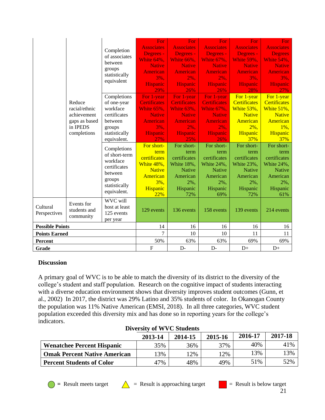|                          | Reduce<br>racial/ethnic                                 | Completion<br>of associates<br>between<br>groups<br>statistically<br>equivalent<br>Completions<br>of one-year<br>workface                                                          | For<br><b>Associates</b><br>Degrees -<br>White 64%.<br><b>Native</b><br>American<br>$3\%$ .<br><b>Hispanic</b><br>29%<br>For 1-year<br><b>Certificates</b><br><b>White 65%.</b> | For<br><b>Associates</b><br>Degrees -<br>White 66%,<br><b>Native</b><br><b>American</b><br>2%.<br><b>Hispanic</b><br>26%<br>For 1-year<br><b>Certificates</b><br>White 63%. | For<br><b>Associates</b><br>Degrees -<br>White 67%,<br><b>Native</b><br>American<br>2%.<br><b>Hispanic</b><br>26%<br>For 1-year<br><b>Certificates</b><br><b>White 67%.</b> | For<br><b>Associates</b><br>Degrees -<br><b>White 59%,</b><br><b>Native</b><br><b>American</b><br>$3\%$ .<br><b>Hispanic</b><br>28%<br>For 1-year<br><b>Certificates</b><br>White 53%, | For:<br><b>Associates</b><br><b>Degrees</b><br><b>White 54%,</b><br><b>Native</b><br><b>American</b><br>3%,<br><b>Hispanic</b><br>27%<br>For 1-year<br><b>Certificates</b><br>White 51%, |
|--------------------------|---------------------------------------------------------|------------------------------------------------------------------------------------------------------------------------------------------------------------------------------------|---------------------------------------------------------------------------------------------------------------------------------------------------------------------------------|-----------------------------------------------------------------------------------------------------------------------------------------------------------------------------|-----------------------------------------------------------------------------------------------------------------------------------------------------------------------------|----------------------------------------------------------------------------------------------------------------------------------------------------------------------------------------|------------------------------------------------------------------------------------------------------------------------------------------------------------------------------------------|
|                          | achievement<br>gaps as based<br>in IPEDS<br>completions | certificates<br>between<br>groups<br>statistically<br>equivalent.<br>Completions<br>of short-term<br>workface<br>certificates<br>between<br>groups<br>statistically<br>equivalent. | <b>Native</b><br><b>American</b><br>3%,<br><b>Hispanic</b><br>27%<br>For short-<br>term<br>certificates<br>White 48%,<br><b>Native</b><br>American<br>3%.<br>Hispanic           | <b>Native</b><br><b>American</b><br>2%,<br><b>Hispanic</b><br>25%<br>For short-<br>term<br>certificates<br>White 18%,<br><b>Native</b><br>American<br>2%,<br>Hispanic       | <b>Native</b><br><b>American</b><br>2%,<br><b>Hispanic</b><br>26%<br>For short-<br>term<br>certificates<br>White 24%,<br><b>Native</b><br>American<br>2%,<br>Hispanic       | <b>Native</b><br>American<br>$2\%,$<br>Hispanic<br>37%<br>For short-<br>term<br>certificates<br>White 23%,<br><b>Native</b><br>American<br>2%,<br>Hispanic                             | <b>Native</b><br>American<br>$1\%$ ,<br>Hispanic<br>37%<br>For short-<br>term<br>certificates<br>White 24%,<br><b>Native</b><br>American<br>2%,<br>Hispanic                              |
| Cultural<br>Perspectives | Events for<br>students and<br>community                 | WVC will<br>host at least<br>125 events<br>per year                                                                                                                                | 22%<br>129 events                                                                                                                                                               | 72%<br>136 events                                                                                                                                                           | 69%<br>158 events                                                                                                                                                           | 72%<br>139 events                                                                                                                                                                      | 61%<br>214 events                                                                                                                                                                        |
| <b>Possible Points</b>   |                                                         | 14                                                                                                                                                                                 | 16                                                                                                                                                                              | 16                                                                                                                                                                          | 16                                                                                                                                                                          | 16                                                                                                                                                                                     |                                                                                                                                                                                          |
| <b>Points Earned</b>     |                                                         | 7                                                                                                                                                                                  | 10                                                                                                                                                                              | 10                                                                                                                                                                          | 11                                                                                                                                                                          | 11                                                                                                                                                                                     |                                                                                                                                                                                          |
| Percent<br>Grade         |                                                         | 50%<br>$\boldsymbol{\mathrm{F}}$                                                                                                                                                   | 63%<br>$D-$                                                                                                                                                                     | 63%<br>$D-$                                                                                                                                                                 | 69%<br>$D+$                                                                                                                                                                 | 69%<br>$D+$                                                                                                                                                                            |                                                                                                                                                                                          |

# **Discussion**

A primary goal of WVC is to be able to match the diversity of its district to the diversity of the college's student and staff population. Research on the cognitive impact of students interacting with a diverse education environment shows that diversity improves student outcomes (Gunn, et al., 2002) In 2017, the district was 29% Latino and 35% students of color. In Okanogan County the population was 11% Native American (EMSI, 2018). In all three categories, WVC student population exceeded this diversity mix and has done so in reporting years for the college's indicators.

| $PIVCI$ sity of $IV$ vector substitution |         |         |         |         |         |  |
|------------------------------------------|---------|---------|---------|---------|---------|--|
|                                          | 2013-14 | 2014-15 | 2015-16 | 2016-17 | 2017-18 |  |
| <b>Wenatchee Percent Hispanic</b>        | 35%     | 36%     | 37%     | 40%     | 41%     |  |
| <b>Omak Percent Native American</b>      | $13\%$  | $12\%$  | 2%      | 13%     | 13%     |  |
| <b>Percent Students of Color</b>         | 47%     | 48%     | 49%     | 51%     | 52%     |  |

# **Diversity of WVC Students**





 $\bigcirc$  = Result meets target  $\bigwedge$  = Result is approaching target  $\bigcirc$  = Result is below target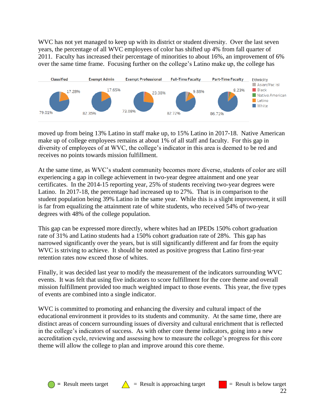WVC has not yet managed to keep up with its district or student diversity. Over the last seven years, the percentage of all WVC employees of color has shifted up 4% from fall quarter of 2011. Faculty has increased their percentage of minorities to about 16%, an improvement of 6% over the same time frame. Focusing further on the college's Latino make up, the college has



moved up from being 13% Latino in staff make up, to 15% Latino in 2017-18. Native American make up of college employees remains at about 1% of all staff and faculty. For this gap in diversity of employees of at WVC, the college's indicator in this area is deemed to be red and receives no points towards mission fulfillment.

At the same time, as WVC's student community becomes more diverse, students of color are still experiencing a gap in college achievement in two-year degree attainment and one year certificates. In the 2014-15 reporting year, 25% of students receiving two-year degrees were Latino. In 2017-18, the percentage had increased up to 27%. That is in comparison to the student population being 39% Latino in the same year. While this is a slight improvement, it still is far from equalizing the attainment rate of white students, who received 54% of two-year degrees with 48% of the college population.

This gap can be expressed more directly, where whites had an IPEDs 150% cohort graduation rate of 31% and Latino students had a 150% cohort graduation rate of 28%. This gap has narrowed significantly over the years, but is still significantly different and far from the equity WVC is striving to achieve. It should be noted as positive progress that Latino first-year retention rates now exceed those of whites.

Finally, it was decided last year to modify the measurement of the indicators surrounding WVC events. It was felt that using five indicators to score fulfillment for the core theme and overall mission fulfillment provided too much weighted impact to those events. This year, the five types of events are combined into a single indicator.

WVC is committed to promoting and enhancing the diversity and cultural impact of the educational environment it provides to its students and community. At the same time, there are distinct areas of concern surrounding issues of diversity and cultural enrichment that is reflected in the college's indicators of success. As with other core theme indicators, going into a new accreditation cycle, reviewing and assessing how to measure the college's progress for this core theme will allow the college to plan and improve around this core theme.